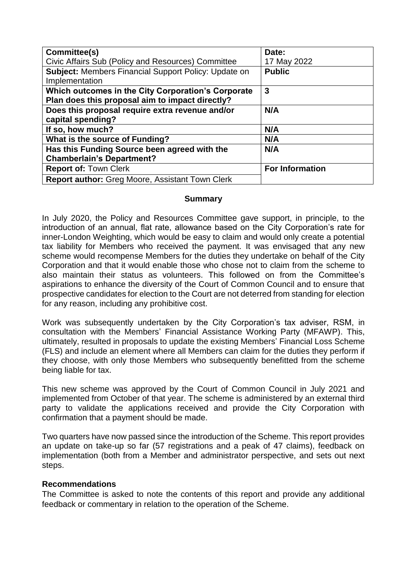| Committee(s)                                                | Date:                  |
|-------------------------------------------------------------|------------------------|
| Civic Affairs Sub (Policy and Resources) Committee          | 17 May 2022            |
| <b>Subject:</b> Members Financial Support Policy: Update on | <b>Public</b>          |
| Implementation                                              |                        |
| Which outcomes in the City Corporation's Corporate          | $\mathbf{3}$           |
| Plan does this proposal aim to impact directly?             |                        |
| Does this proposal require extra revenue and/or             | N/A                    |
| capital spending?                                           |                        |
| If so, how much?                                            | N/A                    |
| What is the source of Funding?                              | N/A                    |
| Has this Funding Source been agreed with the                | N/A                    |
| <b>Chamberlain's Department?</b>                            |                        |
| <b>Report of: Town Clerk</b>                                | <b>For Information</b> |
| <b>Report author:</b> Greg Moore, Assistant Town Clerk      |                        |

#### **Summary**

In July 2020, the Policy and Resources Committee gave support, in principle, to the introduction of an annual, flat rate, allowance based on the City Corporation's rate for inner-London Weighting, which would be easy to claim and would only create a potential tax liability for Members who received the payment. It was envisaged that any new scheme would recompense Members for the duties they undertake on behalf of the City Corporation and that it would enable those who chose not to claim from the scheme to also maintain their status as volunteers. This followed on from the Committee's aspirations to enhance the diversity of the Court of Common Council and to ensure that prospective candidates for election to the Court are not deterred from standing for election for any reason, including any prohibitive cost.

Work was subsequently undertaken by the City Corporation's tax adviser, RSM, in consultation with the Members' Financial Assistance Working Party (MFAWP). This, ultimately, resulted in proposals to update the existing Members' Financial Loss Scheme (FLS) and include an element where all Members can claim for the duties they perform if they choose, with only those Members who subsequently benefitted from the scheme being liable for tax.

This new scheme was approved by the Court of Common Council in July 2021 and implemented from October of that year. The scheme is administered by an external third party to validate the applications received and provide the City Corporation with confirmation that a payment should be made.

Two quarters have now passed since the introduction of the Scheme. This report provides an update on take-up so far (57 registrations and a peak of 47 claims), feedback on implementation (both from a Member and administrator perspective, and sets out next steps.

### **Recommendations**

The Committee is asked to note the contents of this report and provide any additional feedback or commentary in relation to the operation of the Scheme.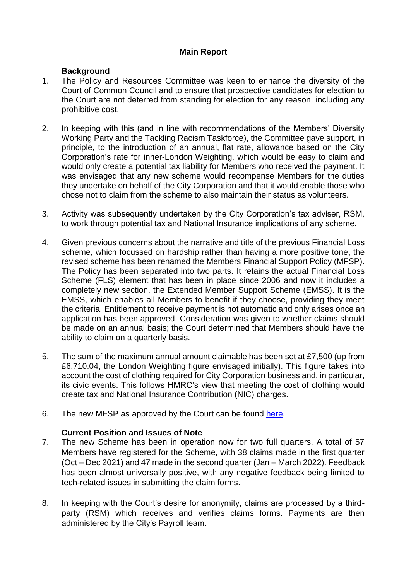# **Main Report**

# **Background**

- 1. The Policy and Resources Committee was keen to enhance the diversity of the Court of Common Council and to ensure that prospective candidates for election to the Court are not deterred from standing for election for any reason, including any prohibitive cost.
- 2. In keeping with this (and in line with recommendations of the Members' Diversity Working Party and the Tackling Racism Taskforce), the Committee gave support, in principle, to the introduction of an annual, flat rate, allowance based on the City Corporation's rate for inner-London Weighting, which would be easy to claim and would only create a potential tax liability for Members who received the payment. It was envisaged that any new scheme would recompense Members for the duties they undertake on behalf of the City Corporation and that it would enable those who chose not to claim from the scheme to also maintain their status as volunteers.
- 3. Activity was subsequently undertaken by the City Corporation's tax adviser, RSM, to work through potential tax and National Insurance implications of any scheme.
- 4. Given previous concerns about the narrative and title of the previous Financial Loss scheme, which focussed on hardship rather than having a more positive tone, the revised scheme has been renamed the Members Financial Support Policy (MFSP). The Policy has been separated into two parts. It retains the actual Financial Loss Scheme (FLS) element that has been in place since 2006 and now it includes a completely new section, the Extended Member Support Scheme (EMSS). It is the EMSS, which enables all Members to benefit if they choose, providing they meet the criteria. Entitlement to receive payment is not automatic and only arises once an application has been approved. Consideration was given to whether claims should be made on an annual basis; the Court determined that Members should have the ability to claim on a quarterly basis.
- 5. The sum of the maximum annual amount claimable has been set at £7,500 (up from £6,710.04, the London Weighting figure envisaged initially). This figure takes into account the cost of clothing required for City Corporation business and, in particular, its civic events. This follows HMRC's view that meeting the cost of clothing would create tax and National Insurance Contribution (NIC) charges.
- 6. The new MFSP as approved by the Court can be found [here.](https://www.cityoflondon.gov.uk/assets/About-us/members-financial-support-policy-november-2021.pdf)

### **Current Position and Issues of Note**

- 7. The new Scheme has been in operation now for two full quarters. A total of 57 Members have registered for the Scheme, with 38 claims made in the first quarter (Oct – Dec 2021) and 47 made in the second quarter (Jan – March 2022). Feedback has been almost universally positive, with any negative feedback being limited to tech-related issues in submitting the claim forms.
- 8. In keeping with the Court's desire for anonymity, claims are processed by a thirdparty (RSM) which receives and verifies claims forms. Payments are then administered by the City's Payroll team.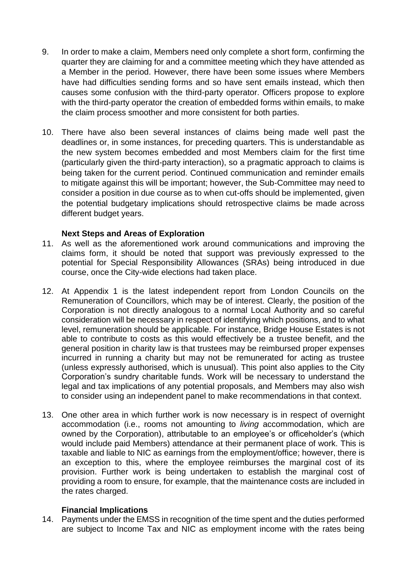- 9. In order to make a claim, Members need only complete a short form, confirming the quarter they are claiming for and a committee meeting which they have attended as a Member in the period. However, there have been some issues where Members have had difficulties sending forms and so have sent emails instead, which then causes some confusion with the third-party operator. Officers propose to explore with the third-party operator the creation of embedded forms within emails, to make the claim process smoother and more consistent for both parties.
- 10. There have also been several instances of claims being made well past the deadlines or, in some instances, for preceding quarters. This is understandable as the new system becomes embedded and most Members claim for the first time (particularly given the third-party interaction), so a pragmatic approach to claims is being taken for the current period. Continued communication and reminder emails to mitigate against this will be important; however, the Sub-Committee may need to consider a position in due course as to when cut-offs should be implemented, given the potential budgetary implications should retrospective claims be made across different budget years.

### **Next Steps and Areas of Exploration**

- 11. As well as the aforementioned work around communications and improving the claims form, it should be noted that support was previously expressed to the potential for Special Responsibility Allowances (SRAs) being introduced in due course, once the City-wide elections had taken place.
- 12. At Appendix 1 is the latest independent report from London Councils on the Remuneration of Councillors, which may be of interest. Clearly, the position of the Corporation is not directly analogous to a normal Local Authority and so careful consideration will be necessary in respect of identifying which positions, and to what level, remuneration should be applicable. For instance, Bridge House Estates is not able to contribute to costs as this would effectively be a trustee benefit, and the general position in charity law is that trustees may be reimbursed proper expenses incurred in running a charity but may not be remunerated for acting as trustee (unless expressly authorised, which is unusual). This point also applies to the City Corporation's sundry charitable funds. Work will be necessary to understand the legal and tax implications of any potential proposals, and Members may also wish to consider using an independent panel to make recommendations in that context.
- 13. One other area in which further work is now necessary is in respect of overnight accommodation (i.e., rooms not amounting to *living* accommodation, which are owned by the Corporation), attributable to an employee's or officeholder's (which would include paid Members) attendance at their permanent place of work. This is taxable and liable to NIC as earnings from the employment/office; however, there is an exception to this, where the employee reimburses the marginal cost of its provision. Further work is being undertaken to establish the marginal cost of providing a room to ensure, for example, that the maintenance costs are included in the rates charged.

### **Financial Implications**

14. Payments under the EMSS in recognition of the time spent and the duties performed are subject to Income Tax and NIC as employment income with the rates being